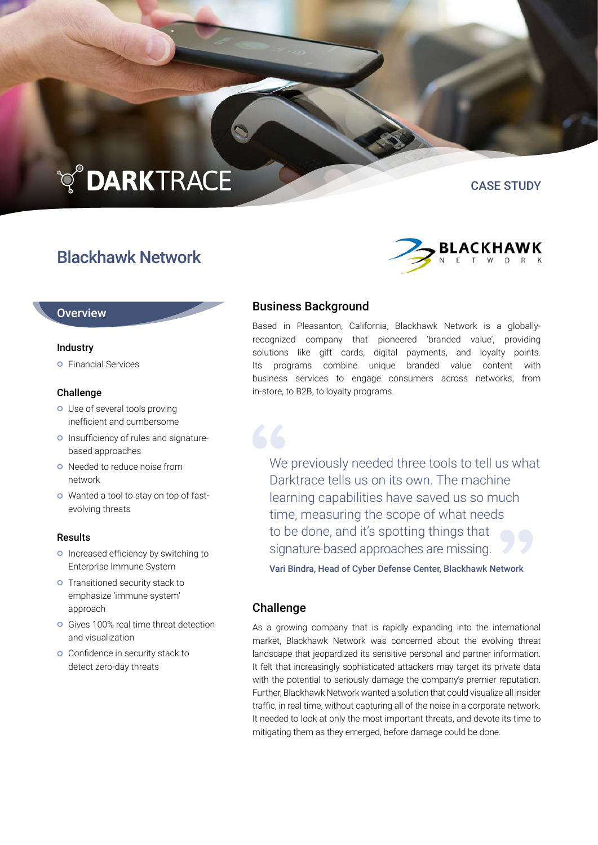# **TO DARKTRACE**

# Blackhawk Network





#### **Overview**

#### Industry

**o** Financial Services

#### Challenge

- Use of several tools proving inefficient and cumbersome
- **O** Insufficiency of rules and signaturebased approaches
- o Needed to reduce noise from network
- Wanted a tool to stay on top of fastevolving threats

#### Results

- o Increased efficiency by switching to Enterprise Immune System
- **o** Transitioned security stack to emphasize 'immune system' approach
- Gives 100% real time threat detection and visualization
- **O** Confidence in security stack to detect zero-day threats

## Business Background

Based in Pleasanton, California, Blackhawk Network is a globallyrecognized company that pioneered 'branded value', providing solutions like gift cards, digital payments, and loyalty points. Its programs combine unique branded value content with business services to engage consumers across networks, from in-store, to B2B, to loyalty programs.

We previously needed three tools to tell us what Darktrace tells us on its own. The machine learning capabilities have saved us so much time, measuring the scope of what needs to be done, and it's spotting things that signature-based approaches are missing.

Vari Bindra, Head of Cyber Defense Center, Blackhawk Network

### Challenge

As a growing company that is rapidly expanding into the international market, Blackhawk Network was concerned about the evolving threat landscape that jeopardized its sensitive personal and partner information. It felt that increasingly sophisticated attackers may target its private data with the potential to seriously damage the company's premier reputation. Further, Blackhawk Network wanted a solution that could visualize all insider traffic, in real time, without capturing all of the noise in a corporate network. It needed to look at only the most important threats, and devote its time to mitigating them as they emerged, before damage could be done.